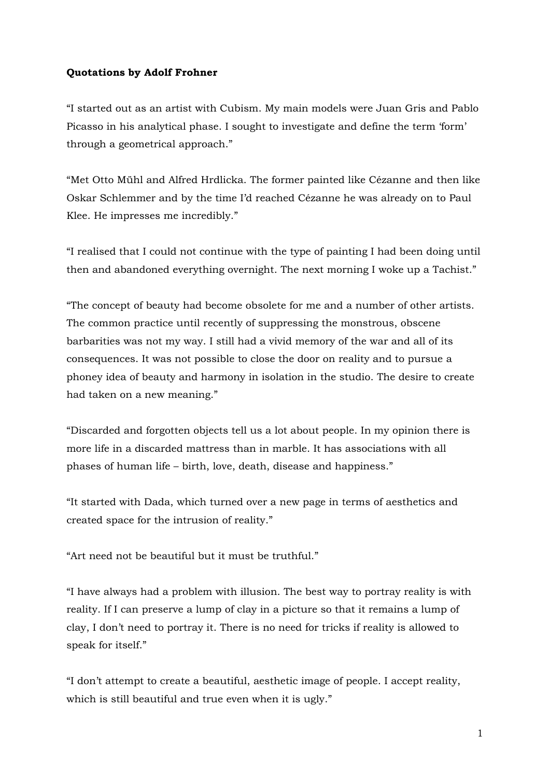## **Quotations by Adolf Frohner**

"I started out as an artist with Cubism. My main models were Juan Gris and Pablo Picasso in his analytical phase. I sought to investigate and define the term 'form' through a geometrical approach."

"Met Otto Mühl and Alfred Hrdlicka. The former painted like Cézanne and then like Oskar Schlemmer and by the time I'd reached Cézanne he was already on to Paul Klee. He impresses me incredibly."

"I realised that I could not continue with the type of painting I had been doing until then and abandoned everything overnight. The next morning I woke up a Tachist."

"The concept of beauty had become obsolete for me and a number of other artists. The common practice until recently of suppressing the monstrous, obscene barbarities was not my way. I still had a vivid memory of the war and all of its consequences. It was not possible to close the door on reality and to pursue a phoney idea of beauty and harmony in isolation in the studio. The desire to create had taken on a new meaning."

"Discarded and forgotten objects tell us a lot about people. In my opinion there is more life in a discarded mattress than in marble. It has associations with all phases of human life – birth, love, death, disease and happiness."

"It started with Dada, which turned over a new page in terms of aesthetics and created space for the intrusion of reality."

"Art need not be beautiful but it must be truthful."

"I have always had a problem with illusion. The best way to portray reality is with reality. If I can preserve a lump of clay in a picture so that it remains a lump of clay, I don't need to portray it. There is no need for tricks if reality is allowed to speak for itself."

"I don't attempt to create a beautiful, aesthetic image of people. I accept reality, which is still beautiful and true even when it is ugly."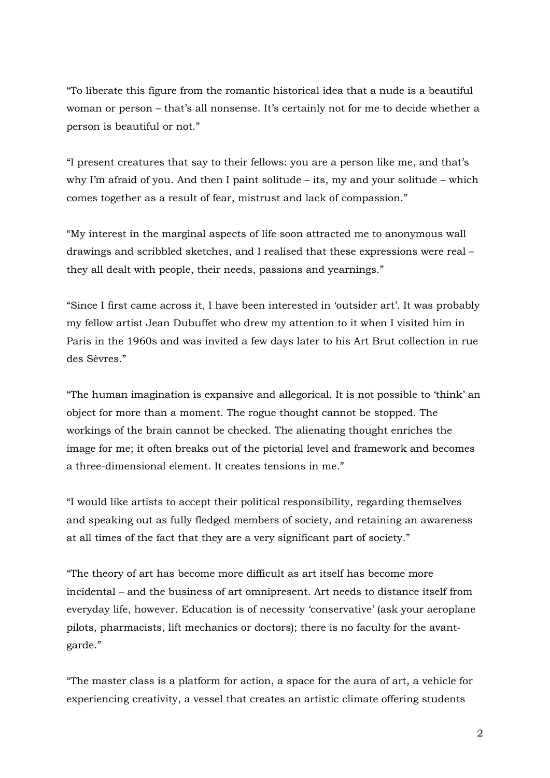"To liberate this figure from the romantic historical idea that a nude is a beautiful woman or person – that's all nonsense. It's certainly not for me to decide whether a person is beautiful or not."

"I present creatures that say to their fellows: you are a person like me, and that's why I'm afraid of you. And then I paint solitude – its, my and your solitude – which comes together as a result of fear, mistrust and lack of compassion."

"My interest in the marginal aspects of life soon attracted me to anonymous wall drawings and scribbled sketches, and I realised that these expressions were real – they all dealt with people, their needs, passions and yearnings."

"Since I first came across it, I have been interested in 'outsider art'. It was probably my fellow artist Jean Dubuffet who drew my attention to it when I visited him in Paris in the 1960s and was invited a few days later to his Art Brut collection in rue des Sèvres."

"The human imagination is expansive and allegorical. It is not possible to 'think' an object for more than a moment. The rogue thought cannot be stopped. The workings of the brain cannot be checked. The alienating thought enriches the image for me; it often breaks out of the pictorial level and framework and becomes a three-dimensional element. It creates tensions in me."

"I would like artists to accept their political responsibility, regarding themselves and speaking out as fully fledged members of society, and retaining an awareness at all times of the fact that they are a very significant part of society."

"The theory of art has become more difficult as art itself has become more incidental – and the business of art omnipresent. Art needs to distance itself from everyday life, however. Education is of necessity 'conservative' (ask your aeroplane pilots, pharmacists, lift mechanics or doctors); there is no faculty for the avantgarde."

"The master class is a platform for action, a space for the aura of art, a vehicle for experiencing creativity, a vessel that creates an artistic climate offering students